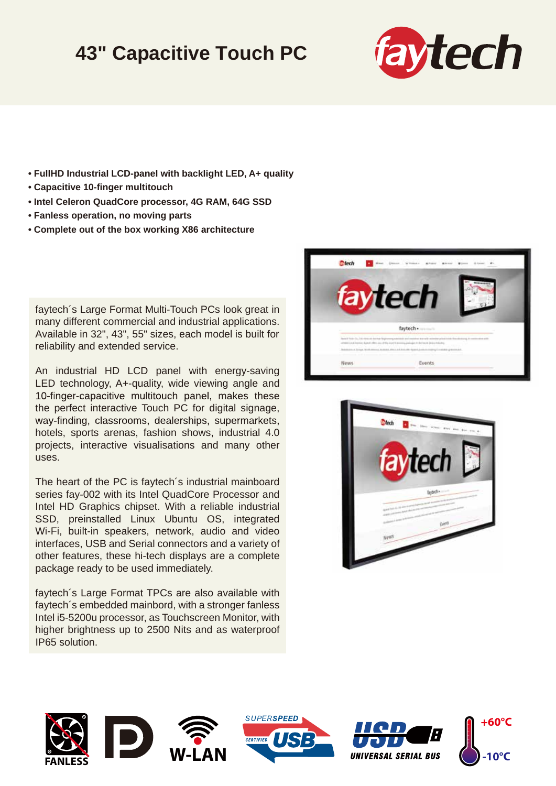## **43" Capacitive Touch PC**



- **FullHD Industrial LCD-panel with backlight LED, A+ quality**
- **Capacitive 10-finger multitouch**
- **Intel Celeron QuadCore processor, 4G RAM, 64G SSD**
- **Fanless operation, no moving parts**
- **Complete out of the box working X86 architecture**

faytech´s Large Format Multi-Touch PCs look great in many different commercial and industrial applications. Available in 32", 43", 55" sizes, each model is built for reliability and extended service.

An industrial HD LCD panel with energy-saving LED technology, A+-quality, wide viewing angle and 10-finger-capacitive multitouch panel, makes these the perfect interactive Touch PC for digital signage, way-finding, classrooms, dealerships, supermarkets, hotels, sports arenas, fashion shows, industrial 4.0 projects, interactive visualisations and many other uses.

The heart of the PC is faytech´s industrial mainboard series fay-002 with its Intel QuadCore Processor and Intel HD Graphics chipset. With a reliable industrial SSD, preinstalled Linux Ubuntu OS, integrated Wi-Fi, built-in speakers, network, audio and video interfaces, USB and Serial connectors and a variety of other features, these hi-tech displays are a complete package ready to be used immediately.

faytech´s Large Format TPCs are also available with faytech´s embedded mainbord, with a stronger fanless Intel i5-5200u processor, as Touchscreen Monitor, with higher brightness up to 2500 Nits and as waterproof IP65 solution.